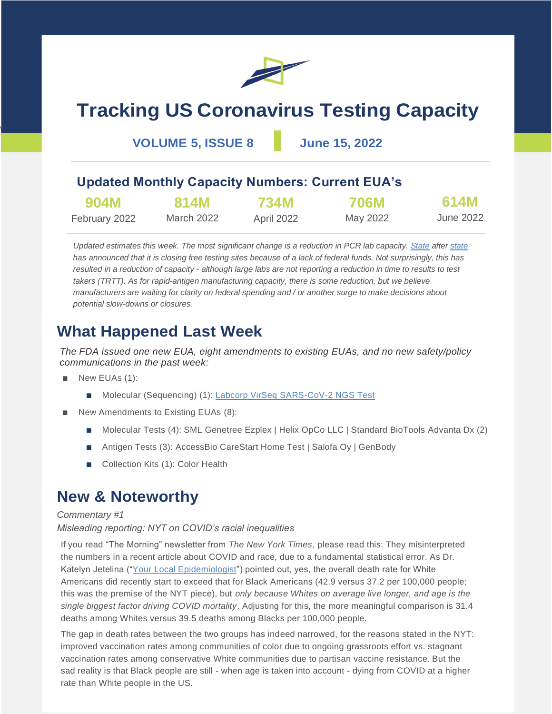

# **Tracking US Coronavirus Testing Capacity**

**VOLUME 5, ISSUE 8 June 15, 2022**

### **Updated Monthly Capacity Numbers: Current EUA's**

| 904M          | 814M       | <b>734M</b> | <b>706M</b> | 614M      |
|---------------|------------|-------------|-------------|-----------|
| February 2022 | March 2022 | April 2022  | May 2022    | June 2022 |

*Updated estimates this week. The most significant change is a reduction in PCR lab capacity. [State](https://www.burlingtonfreepress.com/story/news/local/vermont/2022/06/04/vermont-covid-testing-state-stop-free-testing-program-june-25/7496151001/) afte[r state](https://www.miamiherald.com/news/coronavirus/article262342712.html)* has announced that it is closing free testing sites because of a lack of federal funds. Not surprisingly, this has *resulted in a reduction of capacity - although large labs are not reporting a reduction in time to results to test takers (TRTT). As for rapid-antigen manufacturing capacity, there is some reduction, but we believe manufacturers are waiting for clarity on federal spending and / or another surge to make decisions about potential slow-downs or closures.*

## **What Happened Last Week**

*The FDA issued one new EUA, eight amendments to existing EUAs, and no new safety/policy communications in the past week:*

New EUAs (1):

 $\overline{\phantom{a}}$ 

- Molecular (Sequencing) (1): [Labcorp VirSeq SARS-CoV-2 NGS Test](https://www.fda.gov/media/159184/download)
- New Amendments to Existing EUAs (8):
	- Molecular Tests (4): SML Genetree Ezplex | Helix OpCo LLC | Standard BioTools Advanta Dx (2)
	- Antigen Tests (3): AccessBio CareStart Home Test | Salofa Oy | GenBody
	- Collection Kits (1): Color Health

### **New & Noteworthy**

#### *Commentary #1*

#### *Misleading reporting: NYT on COVID's racial inequalities*

If you read "The Morning" newsletter from *The New York Times*, please read this: They misinterpreted the numbers in a recent article about COVID and race, due to a fundamental statistical error. As Dr. Katelyn Jetelina (["Your Local Epidemiologist"](https://yourlocalepidemiologist.substack.com/p/the-morning-today-iswrong?s=r)) pointed out, yes, the overall death rate for White Americans did recently start to exceed that for Black Americans (42.9 versus 37.2 per 100,000 people; this was the premise of the NYT piece), but *only because Whites on average live longer, and age is the single biggest factor driving COVID mortality*. Adjusting for this, the more meaningful comparison is 31.4 deaths among Whites versus 39.5 deaths among Blacks per 100,000 people.

The gap in death rates between the two groups has indeed narrowed, for the reasons stated in the NYT: improved vaccination rates among communities of color due to ongoing grassroots effort vs. stagnant vaccination rates among conservative White communities due to partisan vaccine resistance. But the sad reality is that Black people are still - when age is taken into account - dying from COVID at a higher rate than White people in the US.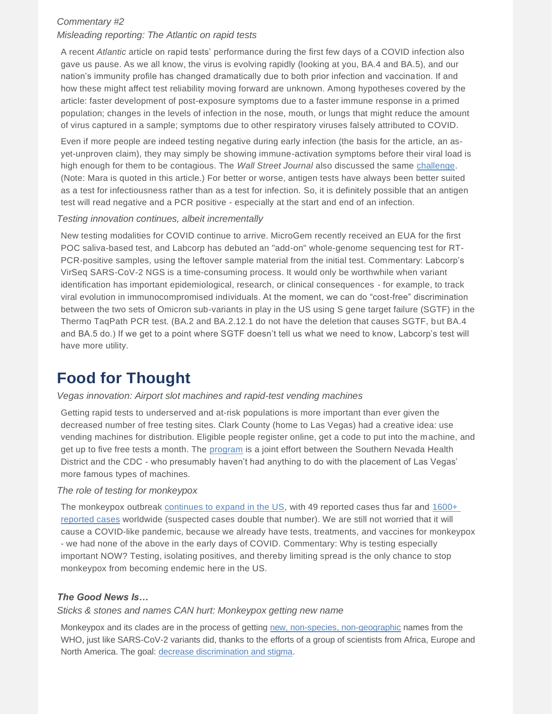#### *Commentary #2*

#### *Misleading reporting: The Atlantic on rapid tests*

A recent *Atlantic* article on rapid tests' performance during the first few days of a COVID infection also gave us pause. As we all know, the virus is evolving rapidly (looking at you, BA.4 and BA.5), and our nation's immunity profile has changed dramatically due to both prior infection and vaccination. If and how these might affect test reliability moving forward are unknown. Among hypotheses covered by the article: faster development of post-exposure symptoms due to a faster immune response in a primed population; changes in the levels of infection in the nose, mouth, or lungs that might reduce the amount of virus captured in a sample; symptoms due to other respiratory viruses falsely attributed to COVID.

Even if more people are indeed testing negative during early infection (the basis for the article, an asyet-unproven claim), they may simply be showing immune-activation symptoms before their viral load is high enough for them to be contagious. The *Wall Street Journal* also discussed the same [challenge.](https://www.wsj.com/articles/can-i-trust-my-rapid-covid-19-test-if-it-says-im-negative-11654650057?st=95qjrjoz0di6832&reflink=desktopwebshare_permalink) (Note: Mara is quoted in this article.) For better or worse, antigen tests have always been better suited as a test for infectiousness rather than as a test for infection. So, it is definitely possible that an antigen test will read negative and a PCR positive - especially at the start and end of an infection.

#### *Testing innovation continues, albeit incrementally*

New testing modalities for COVID continue to arrive. MicroGem recently received an EUA for the first POC saliva-based test, and Labcorp has debuted an "add-on" whole-genome sequencing test for RT-PCR-positive samples, using the leftover sample material from the initial test. Commentary: Labcorp's VirSeq SARS-CoV-2 NGS is a time-consuming process. It would only be worthwhile when variant identification has important epidemiological, research, or clinical consequences - for example, to track viral evolution in immunocompromised individuals. At the moment, we can do "cost-free" discrimination between the two sets of Omicron sub-variants in play in the US using S gene target failure (SGTF) in the Thermo TaqPath PCR test. (BA.2 and BA.2.12.1 do not have the deletion that causes SGTF, but BA.4 and BA.5 do.) If we get to a point where SGTF doesn't tell us what we need to know, Labcorp's test will have more utility.

### **Food for Thought**

#### *Vegas innovation: Airport slot machines and rapid-test vending machines*

Getting rapid tests to underserved and at-risk populations is more important than ever given the decreased number of free testing sites. Clark County (home to Las Vegas) had a creative idea: use vending machines for distribution. Eligible people register online, get a code to put into the machine, and get up to five free tests a month. The [program](https://www.reviewjournal.com/local/local-nevada/health-district-installs-2-covid-self-test-kit-vending-machines-2589822/) is a joint effort between the Southern Nevada Health District and the CDC - who presumably haven't had anything to do with the placement of Las Vegas' more famous types of machines.

#### *The role of testing for monkeypox*

The monkeypox outbreak [continues to expand in the US,](https://www.washingtonpost.com/health/2022/06/10/monkeypox-cases-us-increase/) with 49 reported cases thus far and 1600+ [reported cases](https://www.cnn.com/2022/06/14/health/who-monkeypox-public-health-emergency-international-concern/index.html) worldwide (suspected cases double that number). We are still not worried that it will cause a COVID-like pandemic, because we already have tests, treatments, and vaccines for monkeypox - we had none of the above in the early days of COVID. Commentary: Why is testing especially important NOW? Testing, isolating positives, and thereby limiting spread is the only chance to stop monkeypox from becoming endemic here in the US.

#### *The Good News Is…*

#### *Sticks & stones and names CAN hurt: Monkeypox getting new name*

Monkeypox and its clades are in the process of getting [new, non-species, non-geographic](https://www.axios.com/2022/06/14/monkeypox-rename-who-name-racism) names from the WHO, just like SARS-CoV-2 variants did, thanks to the efforts of a group of scientists from Africa, Europe and North America. The goal[: decrease discrimination and stigma.](https://virological.org/t/urgent-need-for-a-non-discriminatory-and-non-stigmatizing-nomenclature-for-monkeypox-virus/853)